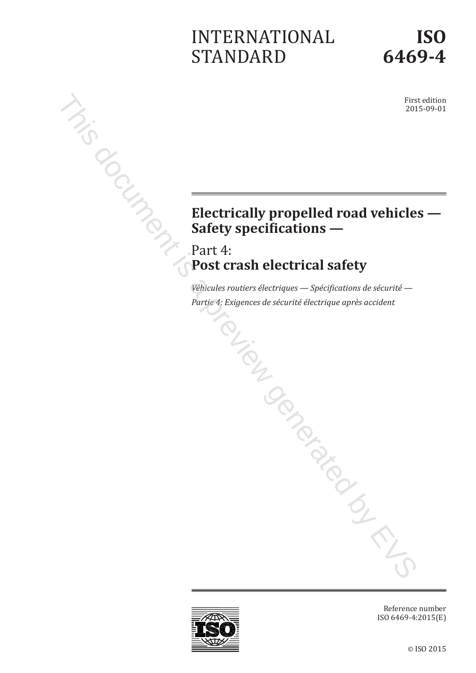# INTERNATIONAL STANDARD

# **ISO 6469-4**

First edition 2015-09-01

# Electrically propelled road vehicles —<br>
Electrically propelled road vehicles —<br>
Safety specifications —<br>  $\frac{1}{2}$  and  $\frac{1}{2}$  and  $\frac{1}{2}$  and  $\frac{1}{2}$  and  $\frac{1}{2}$  and  $\frac{1}{2}$  and  $\frac{1}{2}$  and  $\frac{1}{2}$  and  $\frac{1$ **Safety specifications —** First contract of the **Electrically propelled road vehicle**.

Part 4: **Post crash electrical safety**

*Véhicules routiers électriques — Spécifications de sécurité — Partie 4: Exigences de sécurité électrique après accident*

Reference number ISO 6469-4:2015(E)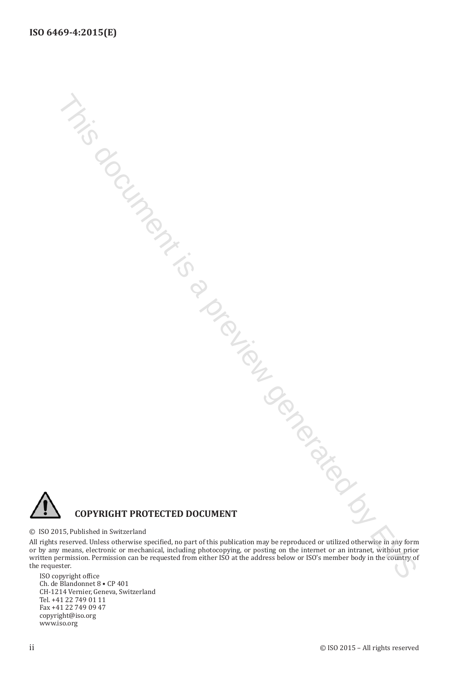

#### © ISO 2015, Published in Switzerland

All rights reserved. Unless otherwise specified, no part of this publication may be reproduced or utilized otherwise in any form or by any means, electronic or mechanical, including photocopying, or posting on the internet or an intranet, without prior written permission. Permission can be requested from either ISO at the address below or ISO's member body in the country of the requester. ISO copyright office This document is a preview generated by EVS

Ch. de Blandonnet 8 • CP 401 CH-1214 Vernier, Geneva, Switzerland Tel. +41 22 749 01 11 Fax +41 22 749 09 47 copyright@iso.org www.iso.org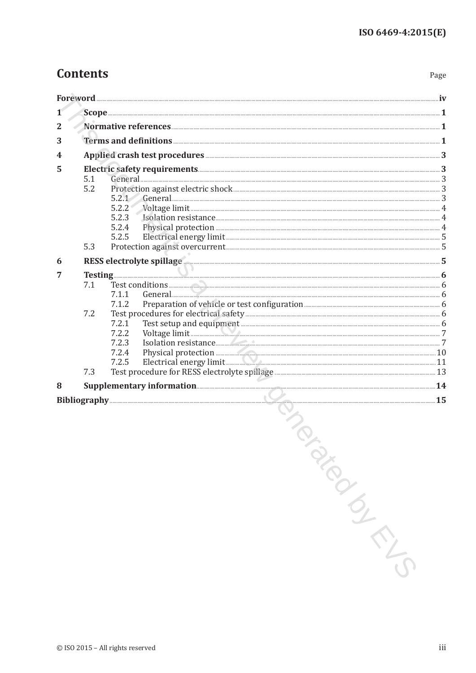## **Contents**

Page

| 1              |            |                                                                                                                                                                                                                                                                                                                                      |  |
|----------------|------------|--------------------------------------------------------------------------------------------------------------------------------------------------------------------------------------------------------------------------------------------------------------------------------------------------------------------------------------|--|
| $\overline{2}$ |            |                                                                                                                                                                                                                                                                                                                                      |  |
| 3              |            |                                                                                                                                                                                                                                                                                                                                      |  |
| 4              |            |                                                                                                                                                                                                                                                                                                                                      |  |
| 5              | 5.1<br>5.2 | 5.2.1<br>5.2.3<br>5.2.4<br>5.2.5                                                                                                                                                                                                                                                                                                     |  |
|                | 5.3        |                                                                                                                                                                                                                                                                                                                                      |  |
| 6<br>7         | 7.1<br>7.2 | RESS electrolyte spillage<br>7.1.1<br>7.1.2<br>7.2.1<br>Voltage limit 7<br>7.2.2<br>Isolation resistance 2014 and 2015 and 2016 and 2016 and 2017 and 2018 and 2019 and 2019 and 2019 and 2019 and 2019 and 2019 and 2019 and 2019 and 2019 and 2019 and 2019 and 2019 and 2019 and 2019 and 2019 and 2019 and 201<br>7.2.3<br>7.2.4 |  |
|                | 7.3        | 7.2.5                                                                                                                                                                                                                                                                                                                                |  |
| 8              |            |                                                                                                                                                                                                                                                                                                                                      |  |
|                |            | PRIC                                                                                                                                                                                                                                                                                                                                 |  |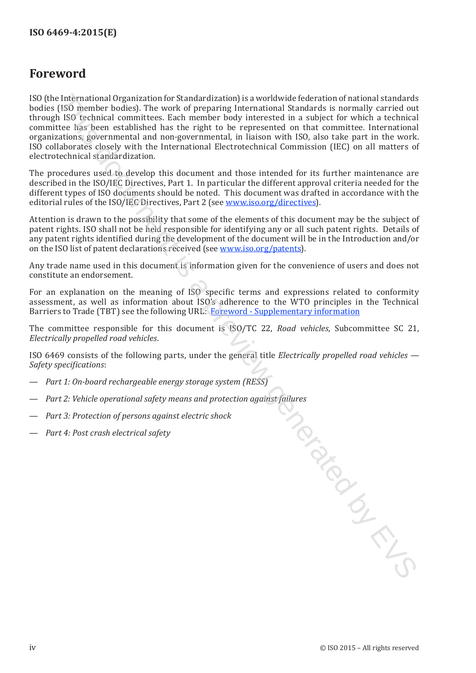### <span id="page-3-0"></span>**Foreword**

ISO (the International Organization for Standardization) is a worldwide federation of national standards bodies (ISO member bodies). The work of preparing International Standards is normally carried out through ISO technical committees. Each member body interested in a subject for which a technical committee has been established has the right to be represented on that committee. International organizations, governmental and non-governmental, in liaison with ISO, also take part in the work. ISO collaborates closely with the International Electrotechnical Commission (IEC) on all matters of electrotechnical standardization.

The procedures used to develop this document and those intended for its further maintenance are described in the ISO/IEC Directives, Part 1. In particular the different approval criteria needed for the different types of ISO documents should be noted. This document was drafted in accordance with the editorial rules of the ISO/IEC Directives, Part 2 (see www.iso.org/directives).

Attention is drawn to the possibility that some of the elements of this document may be the subject of patent rights. ISO shall not be held responsible for identifying any or all such patent rights. Details of any patent rights identified during the development of the document will be in the Introduction and/or on the ISO list of patent declarations received (see www.iso.org/patents).

Any trade name used in this document is information given for the convenience of users and does not constitute an endorsement.

For an explanation on the meaning of ISO specific terms and expressions related to conformity assessment, as well as information about ISO's adherence to the WTO principles in the Technical Barriers to Trade (TBT) see the following URL: Foreword - Supplementary information

The committee responsible for this document is ISO/TC 22, *Road vehicles*, Subcommittee SC 21, *Electrically propelled road vehicles*.

ISO 6469 consists of the following parts, under the general title *Electrically propelled road vehicles — Safety specifications*:

- *Part 1: On-board rechargeable energy storage system (RESS)*
- *Part 2: Vehicle operational safety means and protection against failures* The document is a [pr](http://www.iso.org/iso/home/standards_development/resources-for-technical-work/foreword.htm)evious
- *Part 3: Protection of persons against electric shock*
- *Part 4: Post crash electrical safety*